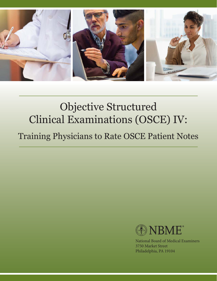

# Objective Structured Clinical Examinations (OSCE) IV:

Training Physicians to Rate OSCE Patient Notes



National Board of Medical Examiners 3750 Market Street Philadelphia, PA 19104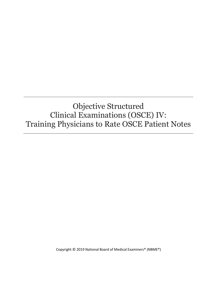# Objective Structured Clinical Examinations (OSCE) IV: Training Physicians to Rate OSCE Patient Notes

Copyright © 2019 National Board of Medical Examiners® (NBME®)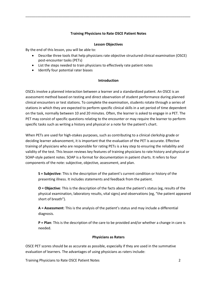# **Training Physicians to Rate OSCE Patient Notes**

\_\_\_\_\_\_\_\_\_\_\_\_\_\_\_\_\_\_\_\_\_\_\_\_\_\_\_\_\_\_\_\_\_\_\_\_\_\_\_\_\_\_\_\_\_\_\_\_\_\_\_\_\_\_\_\_\_\_\_\_\_\_\_\_\_\_\_\_\_\_\_\_\_\_\_\_\_\_\_\_\_\_\_\_\_

# **Lesson Objectives**

By the end of this lesson, you will be able to:

- Describe three tools that help physicians rate objective structured clinical examination (OSCE) post-encounter tasks (PETs)
- List the steps needed to train physicians to effectively rate patient notes
- Identify four potential rater biases

# **Introduction**

OSCEs involve a planned interaction between a learner and a standardized patient. An OSCE is an assessment method based on testing and direct observation of student performance during planned clinical encounters or test stations. To complete the examination, students rotate through a series of stations in which they are expected to perform specific clinical skills in a set period of time dependent on the task, normally between 10 and 20 minutes. Often, the learner is asked to engage in a PET. The PET may consist of specific questions relating to the encounter or may require the learner to perform specific tasks such as writing a history and physical or a note for the patient's chart.

When PETs are used for high-stakes purposes, such as contributing to a clinical clerkship grade or deciding learner advancement, it is important that the evaluation of the PET is accurate. Effective training of physicians who are responsible for rating PETs is a key step to ensuring the reliability and validity of the test. This lesson reviews key features of training physicians to rate history and physical or SOAP-style patient notes. SOAP is a format for documentation in patient charts. It refers to four components of the note: subjective, objective, assessment, and plan.

**S = Subjective**: This is the description of the patient's current condition or history of the presenting illness. It includes statements and feedback from the patient.

**O = Objective**: This is the description of the facts about the patient's status (eg, results of the physical examination, laboratory results, vital signs) and observations (eg, "the patient appeared short of breath").

**A = Assessment**: This is the analysis of the patient's status and may include a differential diagnosis.

**P = Plan**: This is the description of the care to be provided and/or whether a change in care is needed.

# **Physicians as Raters**

OSCE PET scores should be as accurate as possible, especially if they are used in the summative evaluation of learners. The advantages of using physicians as raters include:

Training Physicians to Rate OSCE Patient Notes 2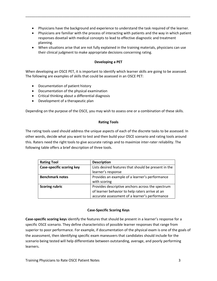Physicians have the background and experience to understand the task required of the learner.

\_\_\_\_\_\_\_\_\_\_\_\_\_\_\_\_\_\_\_\_\_\_\_\_\_\_\_\_\_\_\_\_\_\_\_\_\_\_\_\_\_\_\_\_\_\_\_\_\_\_\_\_\_\_\_\_\_\_\_\_\_\_\_\_\_\_\_\_\_\_\_\_\_\_\_\_\_\_\_\_\_\_\_\_\_

- Physicians are familiar with the process of interacting with patients and the way in which patient responses dovetail with medical concepts to lead to effective diagnostic and treatment planning.
- When situations arise that are not fully explained in the training materials, physicians can use their clinical judgment to make appropriate decisions concerning rating.

# **Developing a PET**

When developing an OSCE PET, it is important to identify which learner skills are going to be assessed. The following are examples of skills that could be assessed in an OSCE PET:

- Documentation of patient history
- Documentation of the physical examination
- Critical thinking about a differential diagnosis
- Development of a therapeutic plan

Depending on the purpose of the OSCE, you may wish to assess one or a combination of these skills.

#### **Rating Tools**

The rating tools used should address the unique aspects of each of the discrete tasks to be assessed. In other words, decide what you want to test and then build your OSCE scenario and rating tools around this. Raters need the right tools to give accurate ratings and to maximize inter-rater reliability. The following table offers a brief description of three tools.

| <b>Rating Tool</b>        | <b>Description</b>                                   |
|---------------------------|------------------------------------------------------|
| Case-specific scoring key | Lists desired features that should be present in the |
|                           | learner's response                                   |
| <b>Benchmark notes</b>    | Provides an example of a learner's performance       |
|                           | with scoring                                         |
| <b>Scoring rubric</b>     | Provides descriptive anchors across the spectrum     |
|                           | of learner behavior to help raters arrive at an      |
|                           | accurate assessment of a learner's performance       |

# **Case-Specific Scoring Keys**

**Case-specific scoring keys** identify the features that should be present in a learner's response for a specific OSCE scenario. They define characteristics of possible learner responses that range from superior to poor performance. For example, if documentation of the physical exam is one of the goals of the assessment, then identifying specific exam maneuvers that candidates should include for the scenario being tested will help differentiate between outstanding, average, and poorly performing learners.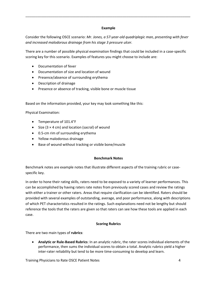# **Example**

\_\_\_\_\_\_\_\_\_\_\_\_\_\_\_\_\_\_\_\_\_\_\_\_\_\_\_\_\_\_\_\_\_\_\_\_\_\_\_\_\_\_\_\_\_\_\_\_\_\_\_\_\_\_\_\_\_\_\_\_\_\_\_\_\_\_\_\_\_\_\_\_\_\_\_\_\_\_\_\_\_\_\_\_\_

Consider the following OSCE scenario: *Mr. Jones, a 57-year-old quadriplegic man, presenting with fever and increased malodorous drainage from his stage 3 pressure ulcer.*

There are a number of possible physical examination findings that could be included in a case-specific scoring key for this scenario. Examples of features you might choose to include are:

- Documentation of fever
- Documentation of size and location of wound
- Presence/absence of surrounding erythema
- Description of drainage
- Presence or absence of tracking, visible bone or muscle tissue

Based on the information provided, your key may look something like this:

Physical Examination:

- Temperature of 101.4°F
- Size  $(3 \times 4 \text{ cm})$  and location (sacral) of wound
- 0.5-cm rim of surrounding erythema
- Yellow malodorous drainage
- Base of wound without tracking or visible bone/muscle

# **Benchmark Notes**

Benchmark notes are example notes that illustrate different aspects of the training rubric or casespecific key.

In order to hone their rating skills, raters need to be exposed to a variety of learner performances. This can be accomplished by having raters rate notes from previously scored cases and review the ratings with either a trainer or other raters. Areas that require clarification can be identified. Raters should be provided with several examples of outstanding, average, and poor performance, along with descriptions of which PET characteristics resulted in the ratings. Such explanations need not be lengthy but should reference the tools that the raters are given so that raters can see how these tools are applied in each case.

# **Scoring Rubrics**

There are two main types of **rubrics**:

 **Analytic or Rule-Based Rubrics**: In an analytic rubric, the rater scores individual elements of the performance, then sums the individual scores to obtain a total. Analytic rubrics yield a higher inter-rater reliability but tend to be more time-consuming to develop and learn.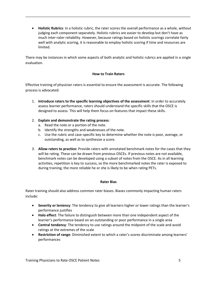**Holistic Rubrics**: In a holistic rubric, the rater scores the overall performance as a whole, without judging each component separately. Holistic rubrics are easier to develop but don't have as much inter-rater reliability. However, because ratings based on holistic scorings correlate fairly well with analytic scoring, it is reasonable to employ holistic scoring if time and resources are limited.

\_\_\_\_\_\_\_\_\_\_\_\_\_\_\_\_\_\_\_\_\_\_\_\_\_\_\_\_\_\_\_\_\_\_\_\_\_\_\_\_\_\_\_\_\_\_\_\_\_\_\_\_\_\_\_\_\_\_\_\_\_\_\_\_\_\_\_\_\_\_\_\_\_\_\_\_\_\_\_\_\_\_\_\_\_

There may be instances in which some aspects of both analytic and holistic rubrics are applied in a single evaluation.

# **How to Train Raters**

Effective training of physician raters is essential to ensure the assessment is accurate. The following process is advocated:

- 1. **Introduce raters to the specific learning objectives of the assessment**: In order to accurately assess learner performance, raters should understand the specific skills that the OSCE is designed to assess. This will help them focus on features that impact these skills.
- 2. **Explain and demonstrate the rating process**:
	- a. Read the note or a portion of the note.
	- b. Identify the strengths and weaknesses of the note.
	- c. Use the rubric and case-specific key to determine whether the note is poor, average, or outstanding, as well as to synthesize a score.
- 3. **Allow raters to practice:** Provide raters with annotated benchmark notes for the cases that they will be rating. These can be drawn from previous OSCEs. If previous notes are not available, benchmark notes can be developed using a subset of notes from the OSCE. As in all learning activities, repetition is key to success, so the more benchmarked notes the rater is exposed to during training, the more reliable he or she is likely to be when rating PETs.

# **Rater Bias**

Rater training should also address common rater biases. Biases commonly impacting human raters include:

- **Severity or leniency**: The tendency to give all learners higher or lower ratings than the learner's performance justifies
- **Halo effect**: The failure to distinguish between more than one independent aspect of the learner's performance based on an outstanding or poor performance in a single area
- **Central tendency**: The tendency to use ratings around the midpoint of the scale and avoid ratings at the extremes of the scale
- **Restriction of range**: Diminished extent to which a rater's scores discriminate among learners' performances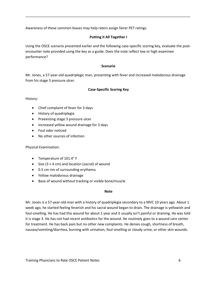Awareness of these common biases may help raters assign fairer PET ratings.

# **Putting it All Together I**

\_\_\_\_\_\_\_\_\_\_\_\_\_\_\_\_\_\_\_\_\_\_\_\_\_\_\_\_\_\_\_\_\_\_\_\_\_\_\_\_\_\_\_\_\_\_\_\_\_\_\_\_\_\_\_\_\_\_\_\_\_\_\_\_\_\_\_\_\_\_\_\_\_\_\_\_\_\_\_\_\_\_\_\_\_

Using the OSCE scenario presented earlier and the following case-specific scoring key, evaluate the postencounter note provided using the key as a guide. Does the note reflect low or high examinee performance?

#### **Scenario**

Mr. Jones, a 57-year-old quadriplegic man, presenting with fever and increased malodorous drainage from his stage 3 pressure ulcer.

# **Case-Specific Scoring Key**

History:

- Chief complaint of fever for 3 days
- History of quadriplegia
- Preexisting stage 3 pressure ulcer
- Increased yellow wound drainage for 3 days
- Foul odor noticed
- No other sources of infection

Physical Examination:

- Temperature of 101.4° F
- Size  $(3 \times 4 \text{ cm})$  and location (sacral) of wound
- 0.5 cm rim of surrounding erythema
- Yellow malodorous drainage
- Base of wound without tracking or visible bone/muscle

#### **Note**

Mr. Jones is a 57-year-old man with a history of quadriplegia secondary to a MVC 10 years ago. About 1 week ago, he started feeling feverish and his sacral wound began to drain. The drainage is yellowish and foul-smelling. He has had this wound for about 1 year and it usually isn't painful or draining. He was told it is stage 3. He has not had recent antibiotics for the wound. He routinely goes to a wound care center for treatment. He has back pain but no other new complaints. He denies cough, shortness of breath, nausea/vomiting/diarrhea, burning with urination, foul-smelling or cloudy urine, or other skin wounds.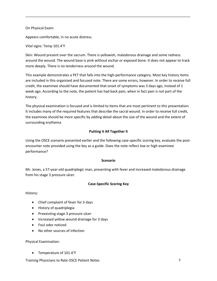On Physical Exam:

Appears comfortable, in no acute distress.

# Vital signs: Temp 101.4°F

Skin: Wound present over the sacrum. There is yellowish, malodorous drainage and some redness around the wound. The wound base is pink without eschar or exposed bone. It does not appear to track more deeply. There is no tenderness around the wound.

\_\_\_\_\_\_\_\_\_\_\_\_\_\_\_\_\_\_\_\_\_\_\_\_\_\_\_\_\_\_\_\_\_\_\_\_\_\_\_\_\_\_\_\_\_\_\_\_\_\_\_\_\_\_\_\_\_\_\_\_\_\_\_\_\_\_\_\_\_\_\_\_\_\_\_\_\_\_\_\_\_\_\_\_\_

This example demonstrates a PET that falls into the high-performance category. Most key history items are included in this organized and focused note. There are some errors, however. In order to receive full credit, the examinee should have documented that onset of symptoms was 3 days ago, instead of 1 week ago. According to the note, the patient has had back pain, when in fact pain is not part of the history.

The physical examination is focused and is limited to items that are most pertinent to this presentation. It includes many of the required features that describe the sacral wound. In order to receive full credit, the examinee should be more specific by adding detail about the size of the wound and the extent of surrounding erythema.

# **Putting it All Together II**

Using the OSCE scenario presented earlier and the following case-specific scoring key, evaluate the postencounter note provided using the key as a guide. Does the note reflect low or high examinee performance?

# **Scenario**

Mr. Jones, a 57-year-old quadriplegic man, presenting with fever and increased malodorous drainage from his stage 3 pressure ulcer.

# **Case-Specific Scoring Key**

History:

- Chief complaint of fever for 3 days
- History of quadriplegia
- Preexisting stage 3 pressure ulcer
- Increased yellow wound drainage for 3 days
- Foul odor noticed
- No other sources of infection

Physical Examination:

• Temperature of 101.4°F

Training Physicians to Rate OSCE Patient Notes 7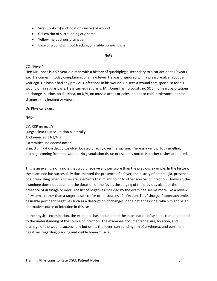- Size  $(3 \times 4 \text{ cm})$  and location (sacral) of wound
- 0.5 cm rim of surrounding erythema
- Yellow malodorous drainage
- Base of wound without tracking or visible bone/muscle

#### **Note**

\_\_\_\_\_\_\_\_\_\_\_\_\_\_\_\_\_\_\_\_\_\_\_\_\_\_\_\_\_\_\_\_\_\_\_\_\_\_\_\_\_\_\_\_\_\_\_\_\_\_\_\_\_\_\_\_\_\_\_\_\_\_\_\_\_\_\_\_\_\_\_\_\_\_\_\_\_\_\_\_\_\_\_\_\_

# CC: "Fever"

HPI: Mr. Jones is a 57-year-old man with a history of quadriplegia secondary to a car accident 10 years ago. He comes in today complaining of a new fever. He was diagnosed with a pressure ulcer about a year ago. He hasn't had any previous infections in his wound. He sees a wound care specialist for his wound on a regular basis. He is turned regularly. Mr. Jones has no cough, no SOB, no heart palpitations, no change in urine, no diarrhea, no N/V, no muscle aches or pains, no hot or cold intolerance, and no change in his hearing or vision.

On Physical Exam:

NAD

CV: RRR no m/g/r Lungs: clear to auscultation bilaterally Abdomen: soft NT/ND Extremities: no edema noted

Skin: 3 cm × 4 cm decubitus ulcer located directly over the sacrum. There is a yellow, foul-smelling drainage coming from the wound. No granulation tissue or eschar is noted. No other rashes are noted.

This is an example of a note that would receive a lower score than the previous example. In the history, the examinee has successfully documented the presence of a fever, the history of paraplegia, presence of a preexisting ulcer, and several elements that might point to other sources of infection. However, the examinee does not document the duration of the fever, the staging of the previous ulcer, or the presence of drainage or odor. The list of negatives included by the examinee seems more like a review of systems, rather than a targeted search for other sources of infection. This "shotgun" approach omits desirable pertinent negatives such as a description of changes in the patient's urine, which might be an alternative source of infection in this case.

In the physical examination, the examinee has documented the examination of systems that do not add to the understanding of the source of infection. The examinee documents the size, location, and drainage of the wound successfully but omits the fever, surrounding rim of erythema, and pertinent negatives regarding tracking and visible bone/muscle.